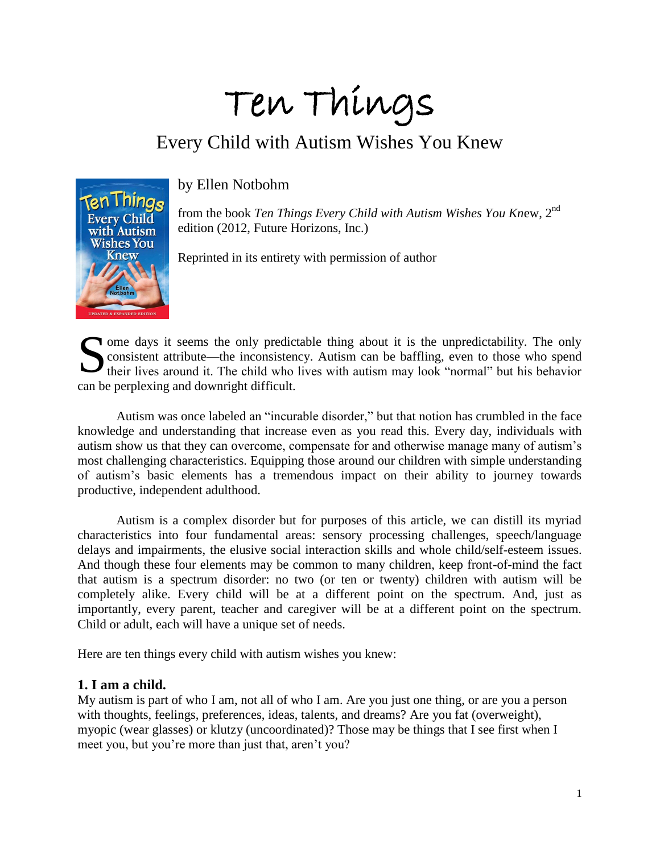# Ten Things

## Every Child with Autism Wishes You Knew

by Ellen Notbohm



from the book *Ten Things Every Child with Autism Wishes You Kn*ew, 2nd edition (2012, Future Horizons, Inc.)

Reprinted in its entirety with permission of author

Some days it seems the only predictable thing about it is the unpredictability. The only consistent attribute—the inconsistency. Autism can be baffling, even to those who spend their lives around it. The child who lives wi consistent attribute—the inconsistency. Autism can be baffling, even to those who spend their lives around it. The child who lives with autism may look "normal" but his behavior can be perplexing and downright difficult.

Autism was once labeled an "incurable disorder," but that notion has crumbled in the face knowledge and understanding that increase even as you read this. Every day, individuals with autism show us that they can overcome, compensate for and otherwise manage many of autism's most challenging characteristics. Equipping those around our children with simple understanding of autism's basic elements has a tremendous impact on their ability to journey towards productive, independent adulthood.

Autism is a complex disorder but for purposes of this article, we can distill its myriad characteristics into four fundamental areas: sensory processing challenges, speech/language delays and impairments, the elusive social interaction skills and whole child/self-esteem issues. And though these four elements may be common to many children, keep front-of-mind the fact that autism is a spectrum disorder: no two (or ten or twenty) children with autism will be completely alike. Every child will be at a different point on the spectrum. And, just as importantly, every parent, teacher and caregiver will be at a different point on the spectrum. Child or adult, each will have a unique set of needs.

Here are ten things every child with autism wishes you knew:

#### **1. I am a child.**

My autism is part of who I am, not all of who I am. Are you just one thing, or are you a person with thoughts, feelings, preferences, ideas, talents, and dreams? Are you fat (overweight), myopic (wear glasses) or klutzy (uncoordinated)? Those may be things that I see first when I meet you, but you're more than just that, aren't you?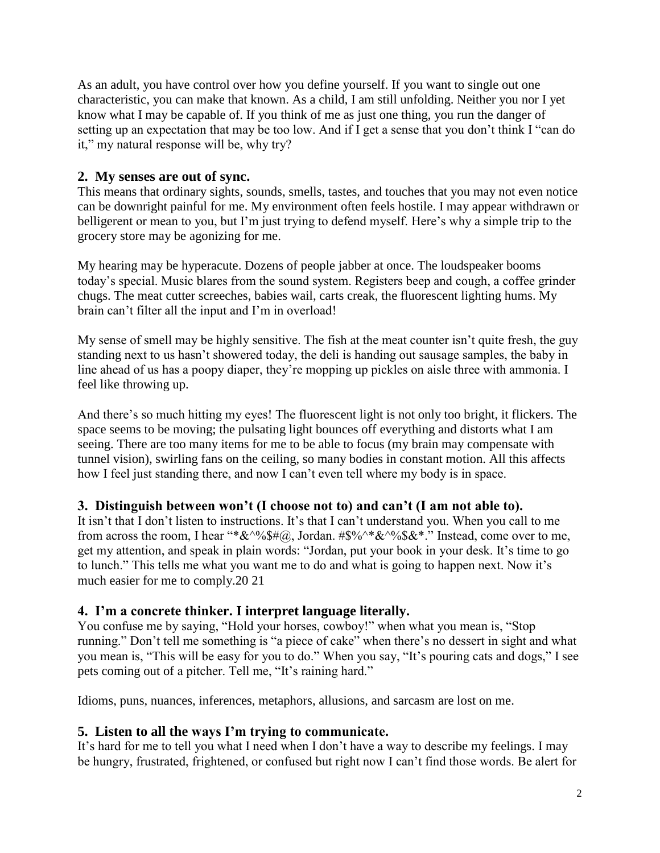As an adult, you have control over how you define yourself. If you want to single out one characteristic, you can make that known. As a child, I am still unfolding. Neither you nor I yet know what I may be capable of. If you think of me as just one thing, you run the danger of setting up an expectation that may be too low. And if I get a sense that you don't think I "can do it," my natural response will be, why try?

#### **2. My senses are out of sync.**

This means that ordinary sights, sounds, smells, tastes, and touches that you may not even notice can be downright painful for me. My environment often feels hostile. I may appear withdrawn or belligerent or mean to you, but I'm just trying to defend myself. Here's why a simple trip to the grocery store may be agonizing for me.

My hearing may be hyperacute. Dozens of people jabber at once. The loudspeaker booms today's special. Music blares from the sound system. Registers beep and cough, a coffee grinder chugs. The meat cutter screeches, babies wail, carts creak, the fluorescent lighting hums. My brain can't filter all the input and I'm in overload!

My sense of smell may be highly sensitive. The fish at the meat counter isn't quite fresh, the guy standing next to us hasn't showered today, the deli is handing out sausage samples, the baby in line ahead of us has a poopy diaper, they're mopping up pickles on aisle three with ammonia. I feel like throwing up.

And there's so much hitting my eyes! The fluorescent light is not only too bright, it flickers. The space seems to be moving; the pulsating light bounces off everything and distorts what I am seeing. There are too many items for me to be able to focus (my brain may compensate with tunnel vision), swirling fans on the ceiling, so many bodies in constant motion. All this affects how I feel just standing there, and now I can't even tell where my body is in space.

### **3. Distinguish between won't (I choose not to) and can't (I am not able to).**

It isn't that I don't listen to instructions. It's that I can't understand you. When you call to me from across the room, I hear "\* $&\&\%\$ ", Jordan. #\$%^\* $&\&\%\&\&\``$ ." Instead, come over to me, get my attention, and speak in plain words: "Jordan, put your book in your desk. It's time to go to lunch." This tells me what you want me to do and what is going to happen next. Now it's much easier for me to comply.20 21

### **4. I'm a concrete thinker. I interpret language literally.**

You confuse me by saying, "Hold your horses, cowboy!" when what you mean is, "Stop running." Don't tell me something is "a piece of cake" when there's no dessert in sight and what you mean is, "This will be easy for you to do." When you say, "It's pouring cats and dogs," I see pets coming out of a pitcher. Tell me, "It's raining hard."

Idioms, puns, nuances, inferences, metaphors, allusions, and sarcasm are lost on me.

### **5. Listen to all the ways I'm trying to communicate.**

It's hard for me to tell you what I need when I don't have a way to describe my feelings. I may be hungry, frustrated, frightened, or confused but right now I can't find those words. Be alert for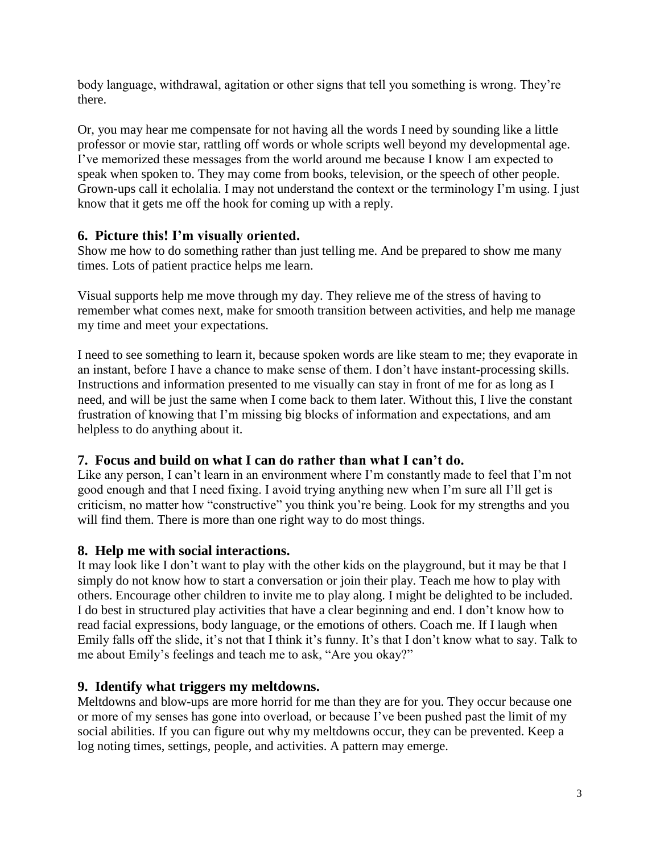body language, withdrawal, agitation or other signs that tell you something is wrong. They're there.

Or, you may hear me compensate for not having all the words I need by sounding like a little professor or movie star, rattling off words or whole scripts well beyond my developmental age. I've memorized these messages from the world around me because I know I am expected to speak when spoken to. They may come from books, television, or the speech of other people. Grown-ups call it echolalia. I may not understand the context or the terminology I'm using. I just know that it gets me off the hook for coming up with a reply.

#### **6. Picture this! I'm visually oriented.**

Show me how to do something rather than just telling me. And be prepared to show me many times. Lots of patient practice helps me learn.

Visual supports help me move through my day. They relieve me of the stress of having to remember what comes next, make for smooth transition between activities, and help me manage my time and meet your expectations.

I need to see something to learn it, because spoken words are like steam to me; they evaporate in an instant, before I have a chance to make sense of them. I don't have instant-processing skills. Instructions and information presented to me visually can stay in front of me for as long as I need, and will be just the same when I come back to them later. Without this, I live the constant frustration of knowing that I'm missing big blocks of information and expectations, and am helpless to do anything about it.

### **7. Focus and build on what I can do rather than what I can't do.**

Like any person, I can't learn in an environment where I'm constantly made to feel that I'm not good enough and that I need fixing. I avoid trying anything new when I'm sure all I'll get is criticism, no matter how "constructive" you think you're being. Look for my strengths and you will find them. There is more than one right way to do most things.

### **8. Help me with social interactions.**

It may look like I don't want to play with the other kids on the playground, but it may be that I simply do not know how to start a conversation or join their play. Teach me how to play with others. Encourage other children to invite me to play along. I might be delighted to be included. I do best in structured play activities that have a clear beginning and end. I don't know how to read facial expressions, body language, or the emotions of others. Coach me. If I laugh when Emily falls off the slide, it's not that I think it's funny. It's that I don't know what to say. Talk to me about Emily's feelings and teach me to ask, "Are you okay?"

### **9. Identify what triggers my meltdowns.**

Meltdowns and blow-ups are more horrid for me than they are for you. They occur because one or more of my senses has gone into overload, or because I've been pushed past the limit of my social abilities. If you can figure out why my meltdowns occur, they can be prevented. Keep a log noting times, settings, people, and activities. A pattern may emerge.